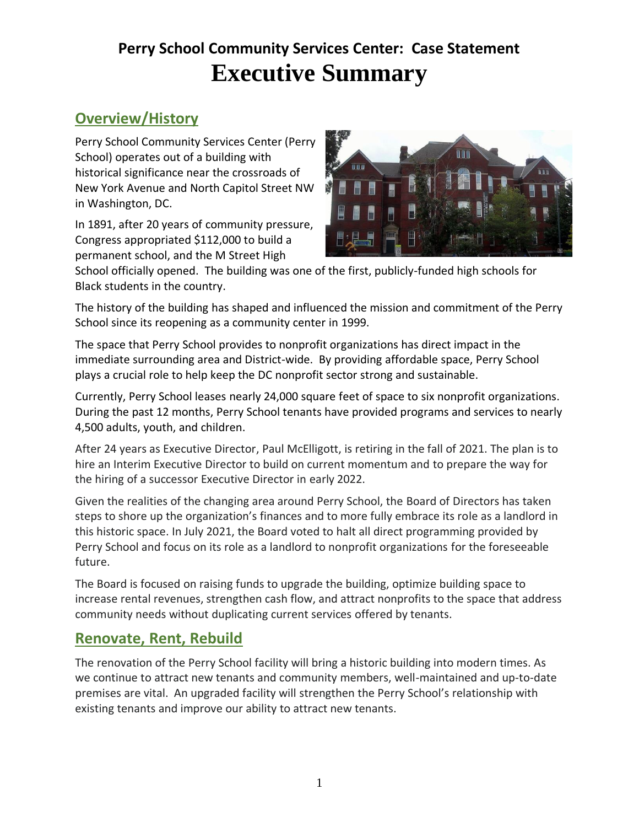# **Perry School Community Services Center: Case Statement Executive Summary**

## **Overview/History**

Perry School Community Services Center (Perry School) operates out of a building with historical significance near the crossroads of New York Avenue and North Capitol Street NW in Washington, DC.

In 1891, after 20 years of community pressure, Congress appropriated \$112,000 to build a permanent school, and the M Street High



School officially opened. The building was one of the first, publicly-funded high schools for Black students in the country.

The history of the building has shaped and influenced the mission and commitment of the Perry School since its reopening as a community center in 1999.

The space that Perry School provides to nonprofit organizations has direct impact in the immediate surrounding area and District-wide. By providing affordable space, Perry School plays a crucial role to help keep the DC nonprofit sector strong and sustainable.

Currently, Perry School leases nearly 24,000 square feet of space to six nonprofit organizations. During the past 12 months, Perry School tenants have provided programs and services to nearly 4,500 adults, youth, and children.

After 24 years as Executive Director, Paul McElligott, is retiring in the fall of 2021. The plan is to hire an Interim Executive Director to build on current momentum and to prepare the way for the hiring of a successor Executive Director in early 2022.

Given the realities of the changing area around Perry School, the Board of Directors has taken steps to shore up the organization's finances and to more fully embrace its role as a landlord in this historic space. In July 2021, the Board voted to halt all direct programming provided by Perry School and focus on its role as a landlord to nonprofit organizations for the foreseeable future.

The Board is focused on raising funds to upgrade the building, optimize building space to increase rental revenues, strengthen cash flow, and attract nonprofits to the space that address community needs without duplicating current services offered by tenants.

#### **Renovate, Rent, Rebuild**

The renovation of the Perry School facility will bring a historic building into modern times. As we continue to attract new tenants and community members, well-maintained and up-to-date premises are vital. An upgraded facility will strengthen the Perry School's relationship with existing tenants and improve our ability to attract new tenants.